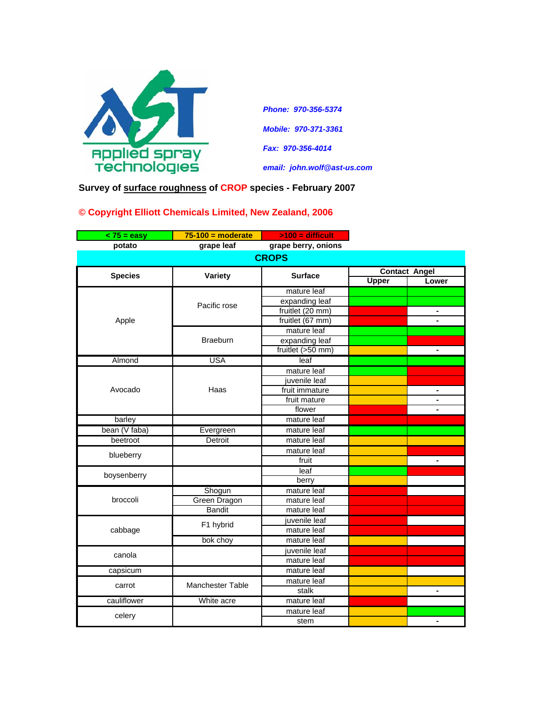

*Phone: 970-356-5374 Mobile: 970-371-3361 Fax: 970-356-4014 email: john.wolf@ast-us.com*

**Survey of surface roughness of CROP species - February 2007**

## **© Copyright Elliott Chemicals Limited, New Zealand, 2006**

| $<$ 75 = easy  | $75-100$ = moderate     | $>100$ = difficult  |                      |                |  |  |
|----------------|-------------------------|---------------------|----------------------|----------------|--|--|
| potato         | grape leaf              | grape berry, onions |                      |                |  |  |
| <b>CROPS</b>   |                         |                     |                      |                |  |  |
|                |                         |                     | <b>Contact Angel</b> |                |  |  |
| <b>Species</b> | Variety                 | <b>Surface</b>      | Upper                | Lower          |  |  |
| Apple          | Pacific rose            | mature leaf         |                      |                |  |  |
|                |                         | expanding leaf      |                      |                |  |  |
|                |                         | fruitlet (20 mm)    |                      | ۰              |  |  |
|                |                         | fruitlet (67 mm)    |                      |                |  |  |
|                | <b>Braeburn</b>         | mature leaf         |                      |                |  |  |
|                |                         | expanding leaf      |                      |                |  |  |
|                |                         | fruitlet (>50 mm)   |                      | ÷.             |  |  |
| Almond         | <b>USA</b>              | leaf                |                      |                |  |  |
|                | Haas                    | mature leaf         |                      |                |  |  |
|                |                         | juvenile leaf       |                      |                |  |  |
| Avocado        |                         | fruit immature      |                      | ۰              |  |  |
|                |                         | fruit mature        |                      |                |  |  |
|                |                         | flower              |                      |                |  |  |
| barley         |                         | mature leaf         |                      |                |  |  |
| bean (V faba)  | Evergreen               | mature leaf         |                      |                |  |  |
| beetroot       | Detroit                 | mature leaf         |                      |                |  |  |
| blueberry      |                         | mature leaf         |                      |                |  |  |
|                |                         | fruit               |                      |                |  |  |
| boysenberry    |                         | leaf                |                      |                |  |  |
|                |                         | berry               |                      |                |  |  |
| broccoli       | Shogun                  | mature leaf         |                      |                |  |  |
|                | Green Dragon            | mature leaf         |                      |                |  |  |
|                | <b>Bandit</b>           | mature leaf         |                      |                |  |  |
| cabbage        | F1 hybrid               | juvenile leaf       |                      |                |  |  |
|                |                         | mature leaf         |                      |                |  |  |
|                | bok choy                | mature leaf         |                      |                |  |  |
| canola         |                         | juvenile leaf       |                      |                |  |  |
|                |                         | mature leaf         |                      |                |  |  |
| capsicum       |                         | mature leaf         |                      |                |  |  |
| carrot         | <b>Manchester Table</b> | mature leaf         |                      |                |  |  |
|                |                         | stalk               |                      | $\blacksquare$ |  |  |
| cauliflower    | White acre              | mature leaf         |                      |                |  |  |
| celery         |                         | mature leaf         |                      |                |  |  |
|                |                         | stem                |                      | ۰              |  |  |